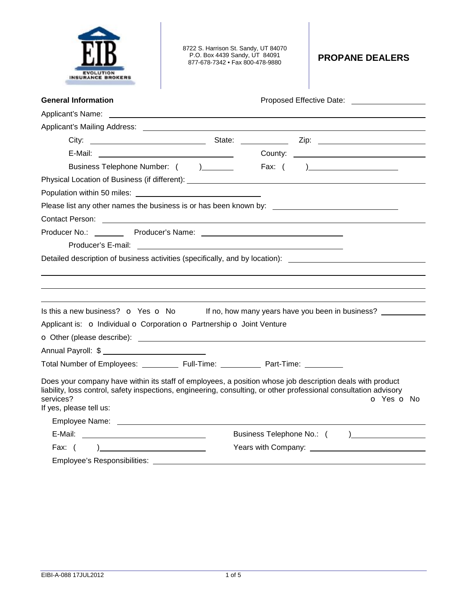| <b>EVOLUTION</b>         |
|--------------------------|
| <b>INSURANCE BROKERS</b> |

8722 S. Harrison St. Sandy, UT 84070 P.O. Box 4439 Sandy, UT 84091 877-678-7342 • Fax 800-478-9880 **PROPANE DEALERS** 

| <b>General Information</b>                                                                                                                                                                                                                                             | Proposed Effective Date: Notelland School and School and School and School and School and School and School and School and School and School and School and School and School and School and School and School and School and |
|------------------------------------------------------------------------------------------------------------------------------------------------------------------------------------------------------------------------------------------------------------------------|-------------------------------------------------------------------------------------------------------------------------------------------------------------------------------------------------------------------------------|
|                                                                                                                                                                                                                                                                        |                                                                                                                                                                                                                               |
|                                                                                                                                                                                                                                                                        |                                                                                                                                                                                                                               |
|                                                                                                                                                                                                                                                                        |                                                                                                                                                                                                                               |
|                                                                                                                                                                                                                                                                        |                                                                                                                                                                                                                               |
| Business Telephone Number: () ________                                                                                                                                                                                                                                 |                                                                                                                                                                                                                               |
|                                                                                                                                                                                                                                                                        |                                                                                                                                                                                                                               |
|                                                                                                                                                                                                                                                                        |                                                                                                                                                                                                                               |
| Please list any other names the business is or has been known by: __________________________________                                                                                                                                                                   |                                                                                                                                                                                                                               |
|                                                                                                                                                                                                                                                                        |                                                                                                                                                                                                                               |
|                                                                                                                                                                                                                                                                        |                                                                                                                                                                                                                               |
|                                                                                                                                                                                                                                                                        |                                                                                                                                                                                                                               |
| Detailed description of business activities (specifically, and by location): <u>________________________________</u>                                                                                                                                                   |                                                                                                                                                                                                                               |
|                                                                                                                                                                                                                                                                        |                                                                                                                                                                                                                               |
|                                                                                                                                                                                                                                                                        |                                                                                                                                                                                                                               |
|                                                                                                                                                                                                                                                                        |                                                                                                                                                                                                                               |
| Is this a new business? <b>o</b> Yes <b>o</b> No                                                                                                                                                                                                                       | If no, how many years have you been in business?                                                                                                                                                                              |
| Applicant is: o Individual o Corporation o Partnership o Joint Venture                                                                                                                                                                                                 |                                                                                                                                                                                                                               |
|                                                                                                                                                                                                                                                                        |                                                                                                                                                                                                                               |
|                                                                                                                                                                                                                                                                        |                                                                                                                                                                                                                               |
| Total Number of Employees: ____________ Full-Time: ____________ Part-Time: __________                                                                                                                                                                                  |                                                                                                                                                                                                                               |
| Does your company have within its staff of employees, a position whose job description deals with product<br>liability, loss control, safety inspections, engineering, consulting, or other professional consultation advisory<br>services?<br>If yes, please tell us: | o Yes o No                                                                                                                                                                                                                    |
|                                                                                                                                                                                                                                                                        |                                                                                                                                                                                                                               |
|                                                                                                                                                                                                                                                                        | Business Telephone No.: ( )                                                                                                                                                                                                   |
| Fax: $( )$                                                                                                                                                                                                                                                             |                                                                                                                                                                                                                               |
| $\mathbf{r}$ , and the contract of the contract of the contract of the contract of the contract of the contract of the contract of the contract of the contract of the contract of the contract of the contract of the contract o                                      |                                                                                                                                                                                                                               |

Employee's Responsibilities: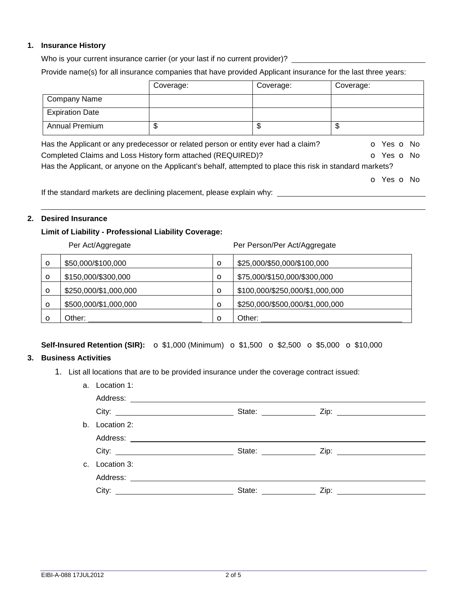### **1. Insurance History**

Who is your current insurance carrier (or your last if no current provider)?

Provide name(s) for all insurance companies that have provided Applicant insurance for the last three years:

|                        | Coverage:                                                                                                 | Coverage: | Coverage:                |
|------------------------|-----------------------------------------------------------------------------------------------------------|-----------|--------------------------|
| Company Name           |                                                                                                           |           |                          |
| <b>Expiration Date</b> |                                                                                                           |           |                          |
| <b>Annual Premium</b>  | \$                                                                                                        | \$        | \$                       |
|                        | Has the Applicant or any predecessor or related person or entity ever had a claim?                        |           | <b>o</b> Yes <b>o</b> No |
|                        | Completed Claims and Loss History form attached (REQUIRED)?                                               |           | O Yes O No               |
|                        | Has the Applicant, or anyone on the Applicant's behalf, attempted to place this risk in standard markets? |           |                          |
|                        |                                                                                                           |           | O Yes O No               |
|                        | If the standard markets are declining placement, please explain why:                                      |           |                          |

# **2. Desired Insurance**

## **Limit of Liability - Professional Liability Coverage:**

|         | Per Act/Aggregate     |          | Per Person/Per Act/Aggregate    |
|---------|-----------------------|----------|---------------------------------|
| $\circ$ | \$50,000/\$100,000    | $\circ$  | \$25,000/\$50,000/\$100,000     |
| $\circ$ | \$150,000/\$300,000   | $\circ$  | \$75,000/\$150,000/\$300,000    |
| $\circ$ | \$250,000/\$1,000,000 | $\circ$  | \$100,000/\$250,000/\$1,000,000 |
| $\circ$ | \$500,000/\$1,000,000 | $\circ$  | \$250,000/\$500,000/\$1,000,000 |
| Ω       | Other:                | $\Omega$ | Other:                          |

## **Self-Insured Retention (SIR):** o \$1,000 (Minimum) o \$1,500 o \$2,500 o \$5,000 o \$10,000

# **3. Business Activities**

1. List all locations that are to be provided insurance under the coverage contract issued:

| a. | Location 1:                          |                              |                                       |
|----|--------------------------------------|------------------------------|---------------------------------------|
|    |                                      |                              |                                       |
|    |                                      |                              |                                       |
| b. | Location 2:                          |                              |                                       |
|    |                                      |                              |                                       |
|    | City: <u>City: City: City: City:</u> |                              | State: <u>Contract Zip:</u> Zip: 2ip: |
|    | c. Location 3:                       |                              |                                       |
|    | Address:                             |                              |                                       |
|    |                                      | State: <u>______________</u> |                                       |
|    |                                      |                              |                                       |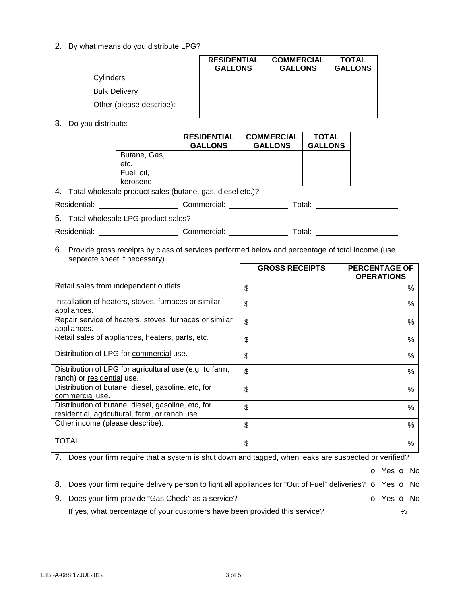2. By what means do you distribute LPG?

|                          | <b>RESIDENTIAL</b><br><b>GALLONS</b> | <b>COMMERCIAL</b><br><b>GALLONS</b> | <b>TOTAL</b><br><b>GALLONS</b> |
|--------------------------|--------------------------------------|-------------------------------------|--------------------------------|
| Cylinders                |                                      |                                     |                                |
| <b>Bulk Delivery</b>     |                                      |                                     |                                |
| Other (please describe): |                                      |                                     |                                |

#### 3. Do you distribute:

|              | <b>RESIDENTIAL</b><br><b>GALLONS</b> | <b>COMMERCIAL</b><br><b>GALLONS</b> | <b>TOTAL</b><br><b>GALLONS</b> |
|--------------|--------------------------------------|-------------------------------------|--------------------------------|
| Butane, Gas, |                                      |                                     |                                |
| etc.         |                                      |                                     |                                |
| Fuel, oil,   |                                      |                                     |                                |
| kerosene     |                                      |                                     |                                |

4. Total wholesale product sales (butane, gas, diesel etc.)?

Residential: \_\_\_\_\_\_\_\_\_\_\_\_\_\_\_\_\_\_\_\_\_\_\_\_\_Commercial: \_\_\_\_\_\_\_\_\_\_\_\_\_\_\_\_\_\_\_\_\_\_\_\_\_\_\_\_\_\_\_

5. Total wholesale LPG product sales?

Residential: \_\_\_\_\_\_\_\_\_\_\_\_\_\_\_\_\_\_\_\_\_\_\_\_\_\_Commercial: \_\_\_\_\_\_\_\_\_\_\_\_\_\_\_\_\_\_\_\_\_\_\_\_\_\_\_\_\_\_

6. Provide gross receipts by class of services performed below and percentage of total income (use separate sheet if necessary).

|                                                                                                     | <b>GROSS RECEIPTS</b> | <b>PERCENTAGE OF</b><br><b>OPERATIONS</b> |
|-----------------------------------------------------------------------------------------------------|-----------------------|-------------------------------------------|
| Retail sales from independent outlets                                                               | \$                    | $\%$                                      |
| Installation of heaters, stoves, furnaces or similar<br>appliances.                                 | \$                    | $\%$                                      |
| Repair service of heaters, stoves, furnaces or similar<br>appliances.                               | \$                    | $\%$                                      |
| Retail sales of appliances, heaters, parts, etc.                                                    | \$                    | $\%$                                      |
| Distribution of LPG for commercial use.                                                             | \$                    | $\%$                                      |
| Distribution of LPG for agricultural use (e.g. to farm,<br>ranch) or residential use.               | \$                    | $\%$                                      |
| Distribution of butane, diesel, gasoline, etc, for<br>commercial use.                               | \$                    | $\frac{0}{0}$                             |
| Distribution of butane, diesel, gasoline, etc, for<br>residential, agricultural, farm, or ranch use | \$                    | $\%$                                      |
| Other income (please describe):                                                                     | \$                    | $\frac{0}{6}$                             |
| TOTAL                                                                                               | \$                    | %                                         |

7. Does your firm require that a system is shut down and tagged, when leaks are suspected or verified?

o Yes o No

| 8. Does your firm require delivery person to light all appliances for "Out of Fuel" deliveries? $\circ$ Yes $\circ$ No |            |  |
|------------------------------------------------------------------------------------------------------------------------|------------|--|
| 9. Does your firm provide "Gas Check" as a service?                                                                    | n Yes n No |  |

| 9. DOES YOUR IIIIII DROVIGE GAS CHECK AS A SERVICE?                        | O TES O INC |
|----------------------------------------------------------------------------|-------------|
| If yes, what percentage of your customers have been provided this service? |             |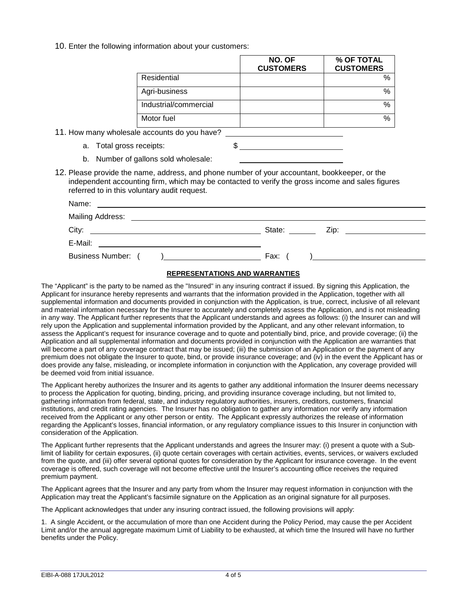10. Enter the following information about your customers:

|                       | NO. OF<br><b>CUSTOMERS</b> | % OF TOTAL<br><b>CUSTOMERS</b> |
|-----------------------|----------------------------|--------------------------------|
| Residential           |                            | $\%$                           |
| Agri-business         |                            | $\%$                           |
| Industrial/commercial |                            | $\%$                           |
| Motor fuel            |                            | $\%$                           |

11. How many wholesale accounts do you have?

- a. Total gross receipts:  $\frac{1}{2}$
- b. Number of gallons sold wholesale:
- 12. Please provide the name, address, and phone number of your accountant, bookkeeper, or the independent accounting firm, which may be contacted to verify the gross income and sales figures referred to in this voluntary audit request.

| Name:<br><u> 1989 - Jan Samuel Barbara, margaret e populari e populari e populari e populari e populari e populari e popu</u>                                                                                                                                                                                            |                                                                                                                                                                                                                                          |
|--------------------------------------------------------------------------------------------------------------------------------------------------------------------------------------------------------------------------------------------------------------------------------------------------------------------------|------------------------------------------------------------------------------------------------------------------------------------------------------------------------------------------------------------------------------------------|
| <b>Mailing Address:</b><br><u> 1980 - Jan Samuel Barbara, margaret e populazion del control del control del control del control de la provi</u>                                                                                                                                                                          |                                                                                                                                                                                                                                          |
| City:<br><u> 1989 - Johann Harry Harry Harry Harry Harry Harry Harry Harry Harry Harry Harry Harry Harry Harry Harry Harry</u>                                                                                                                                                                                           | State:<br>Zip: will be a series of the contract of the contract of the contract of the contract of the contract of the contract of the contract of the contract of the contract of the contract of the contract of the contract of the c |
| E-Mail:<br><u> 1989 - John Stein, Amerikaansk politiker (</u>                                                                                                                                                                                                                                                            |                                                                                                                                                                                                                                          |
| <b>Business Number:</b><br>$\frac{1}{2}$ and $\frac{1}{2}$ and $\frac{1}{2}$ and $\frac{1}{2}$ and $\frac{1}{2}$ and $\frac{1}{2}$ and $\frac{1}{2}$ and $\frac{1}{2}$ and $\frac{1}{2}$ and $\frac{1}{2}$ and $\frac{1}{2}$ and $\frac{1}{2}$ and $\frac{1}{2}$ and $\frac{1}{2}$ and $\frac{1}{2}$ and $\frac{1}{2}$ a | Fax:<br>$\mathbf{I}$ and the contract of the contract of $\mathbf{I}$                                                                                                                                                                    |

#### **REPRESENTATIONS AND WARRANTIES**

The "Applicant" is the party to be named as the "Insured" in any insuring contract if issued. By signing this Application, the Applicant for insurance hereby represents and warrants that the information provided in the Application, together with all supplemental information and documents provided in conjunction with the Application, is true, correct, inclusive of all relevant and material information necessary for the Insurer to accurately and completely assess the Application, and is not misleading in any way. The Applicant further represents that the Applicant understands and agrees as follows: (i) the Insurer can and will rely upon the Application and supplemental information provided by the Applicant, and any other relevant information, to assess the Applicant's request for insurance coverage and to quote and potentially bind, price, and provide coverage; (ii) the Application and all supplemental information and documents provided in conjunction with the Application are warranties that will become a part of any coverage contract that may be issued; (iii) the submission of an Application or the payment of any premium does not obligate the Insurer to quote, bind, or provide insurance coverage; and (iv) in the event the Applicant has or does provide any false, misleading, or incomplete information in conjunction with the Application, any coverage provided will be deemed void from initial issuance.

The Applicant hereby authorizes the Insurer and its agents to gather any additional information the Insurer deems necessary to process the Application for quoting, binding, pricing, and providing insurance coverage including, but not limited to, gathering information from federal, state, and industry regulatory authorities, insurers, creditors, customers, financial institutions, and credit rating agencies. The Insurer has no obligation to gather any information nor verify any information received from the Applicant or any other person or entity. The Applicant expressly authorizes the release of information regarding the Applicant's losses, financial information, or any regulatory compliance issues to this Insurer in conjunction with consideration of the Application.

The Applicant further represents that the Applicant understands and agrees the Insurer may: (i) present a quote with a Sublimit of liability for certain exposures, (ii) quote certain coverages with certain activities, events, services, or waivers excluded from the quote, and (iii) offer several optional quotes for consideration by the Applicant for insurance coverage. In the event coverage is offered, such coverage will not become effective until the Insurer's accounting office receives the required premium payment.

The Applicant agrees that the Insurer and any party from whom the Insurer may request information in conjunction with the Application may treat the Applicant's facsimile signature on the Application as an original signature for all purposes.

The Applicant acknowledges that under any insuring contract issued, the following provisions will apply:

1. A single Accident, or the accumulation of more than one Accident during the Policy Period, may cause the per Accident Limit and/or the annual aggregate maximum Limit of Liability to be exhausted, at which time the Insured will have no further benefits under the Policy.